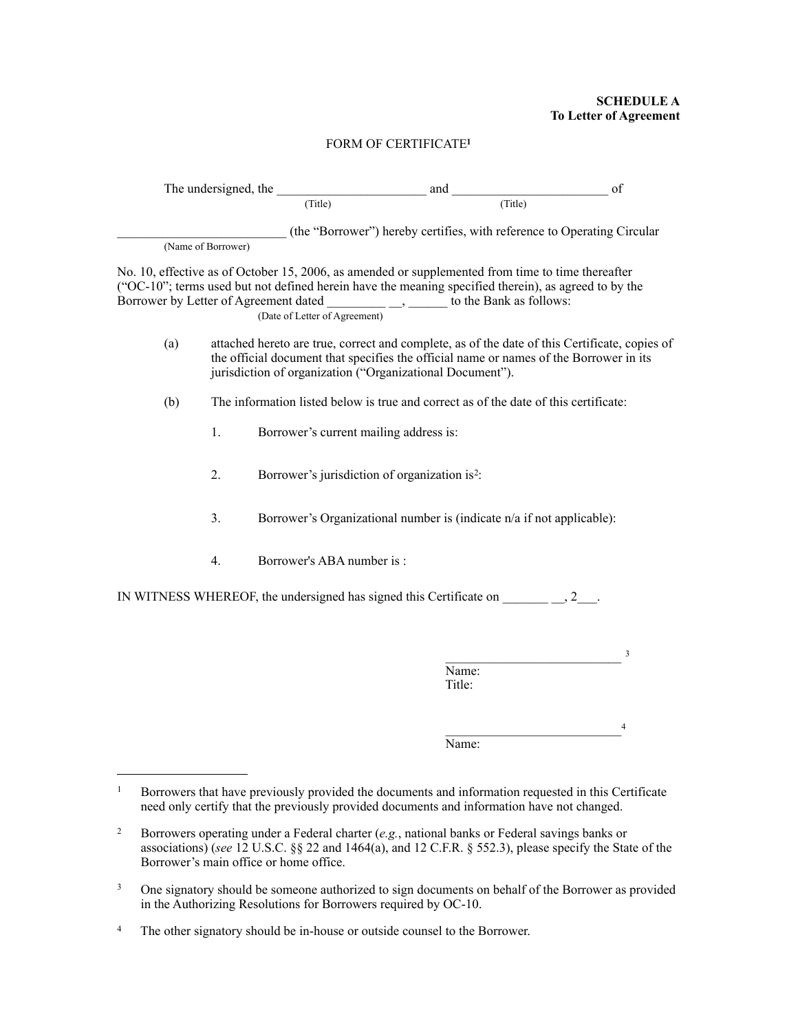## **SCHEDULE A To Letter of Agreement**

## FORM OF CERTIFICATE**[1](#page-0-0)**

| The undersigned, the |                    |                                                                                                                                                                                                                                                                                                                                     | and                                                                   | of                                                                                                  |  |
|----------------------|--------------------|-------------------------------------------------------------------------------------------------------------------------------------------------------------------------------------------------------------------------------------------------------------------------------------------------------------------------------------|-----------------------------------------------------------------------|-----------------------------------------------------------------------------------------------------|--|
|                      |                    | (Title)                                                                                                                                                                                                                                                                                                                             | (Title)                                                               |                                                                                                     |  |
|                      | (Name of Borrower) |                                                                                                                                                                                                                                                                                                                                     |                                                                       | (the "Borrower") hereby certifies, with reference to Operating Circular                             |  |
|                      |                    | No. 10, effective as of October 15, 2006, as amended or supplemented from time to time thereafter<br>("OC-10"; terms used but not defined herein have the meaning specified therein), as agreed to by the<br>Borrower by Letter of Agreement dated _______________, ______ to the Bank as follows:<br>(Date of Letter of Agreement) |                                                                       |                                                                                                     |  |
| (a)                  |                    | attached hereto are true, correct and complete, as of the date of this Certificate, copies of<br>the official document that specifies the official name or names of the Borrower in its<br>jurisdiction of organization ("Organizational Document").                                                                                |                                                                       |                                                                                                     |  |
| (b)                  |                    | The information listed below is true and correct as of the date of this certificate:                                                                                                                                                                                                                                                |                                                                       |                                                                                                     |  |
|                      | 1.                 | Borrower's current mailing address is:                                                                                                                                                                                                                                                                                              |                                                                       |                                                                                                     |  |
|                      | 2.                 |                                                                                                                                                                                                                                                                                                                                     | Borrower's jurisdiction of organization is <sup>2</sup> :             |                                                                                                     |  |
|                      | 3.                 |                                                                                                                                                                                                                                                                                                                                     | Borrower's Organizational number is (indicate n/a if not applicable): |                                                                                                     |  |
|                      | 4.                 | Borrower's ABA number is :                                                                                                                                                                                                                                                                                                          |                                                                       |                                                                                                     |  |
|                      |                    | IN WITNESS WHEREOF, the undersigned has signed this Certificate on $\frac{2}{2}$ .                                                                                                                                                                                                                                                  |                                                                       |                                                                                                     |  |
|                      |                    |                                                                                                                                                                                                                                                                                                                                     |                                                                       | 3                                                                                                   |  |
|                      |                    |                                                                                                                                                                                                                                                                                                                                     | Name:<br>Title:                                                       |                                                                                                     |  |
|                      |                    |                                                                                                                                                                                                                                                                                                                                     |                                                                       | 4                                                                                                   |  |
|                      |                    |                                                                                                                                                                                                                                                                                                                                     | Name:                                                                 |                                                                                                     |  |
| $\mathbf{1}$         |                    | need only certify that the previously provided documents and information have not changed.                                                                                                                                                                                                                                          |                                                                       | Borrowers that have previously provided the documents and information requested in this Certificate |  |
| $\overline{2}$       |                    | Borrowers operating under a Federal charter (e.g., national banks or Federal savings banks or                                                                                                                                                                                                                                       |                                                                       |                                                                                                     |  |

<span id="page-0-1"></span><span id="page-0-0"></span>associations) (*see* 12 U.S.C. §§ 22 and 1464(a), and 12 C.F.R. § 552.3), please specify the State of the Borrower's main office or home office.

<span id="page-0-2"></span><sup>&</sup>lt;sup>3</sup> One signatory should be someone authorized to sign documents on behalf of the Borrower as provided in the Authorizing Resolutions for Borrowers required by OC-10.

<span id="page-0-3"></span><sup>&</sup>lt;sup>4</sup> The other signatory should be in-house or outside counsel to the Borrower.